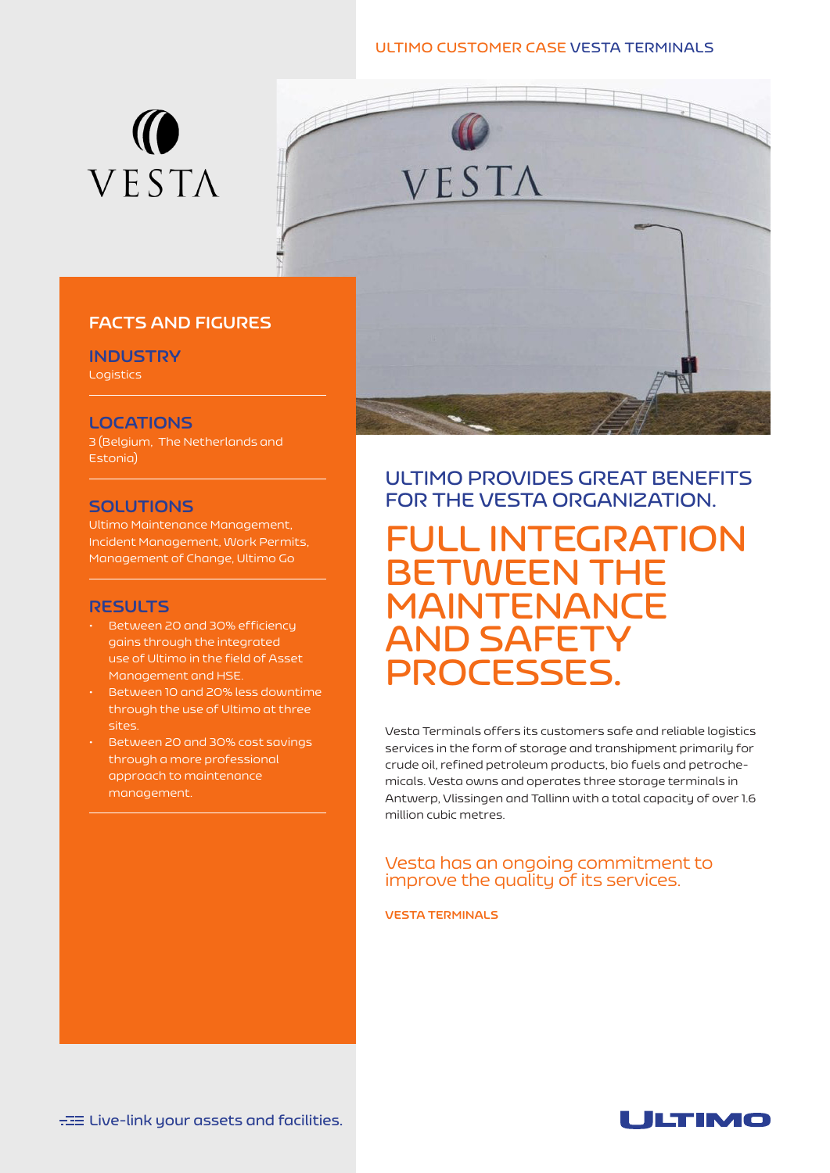#### **ULTIMO CUSTOMER CASE VESTA TERMINALS**





## **FACTS AND FIGURES**

**INDUSTRY**

Logistics

## **LOCATIONS**

3 (Belgium, The Netherlands and Estonia)

#### **SOLUTIONS**

Ultimo Maintenance Management, Incident Management, Work Permits, Management of Change, Ultimo Go

## **RESULTS**

- Between 20 and 30% efficiency gains through the integrated use of Ultimo in the field of Asset Management and HSE.
- Between 10 and 20% less downtime through the use of Ultimo at three sites.
- Between 20 and 30% cost savings through a more professional approach to maintenance management.

# **ULTIMO PROVIDES GREAT BENEFITS FOR THE VESTA ORGANIZATION.**

**FULL INTEGRATION BETWEEN THE MAINTENANCE AND SAFETY PROCESSES.**

Vesta Terminals offers its customers safe and reliable logistics services in the form of storage and transhipment primarily for crude oil, refined petroleum products, bio fuels and petrochemicals. Vesta owns and operates three storage terminals in Antwerp, Vlissingen and Tallinn with a total capacity of over 1.6 million cubic metres.

## Vesta has an ongoing commitment to improve the quality of its services.

#### **VESTA TERMINALS**